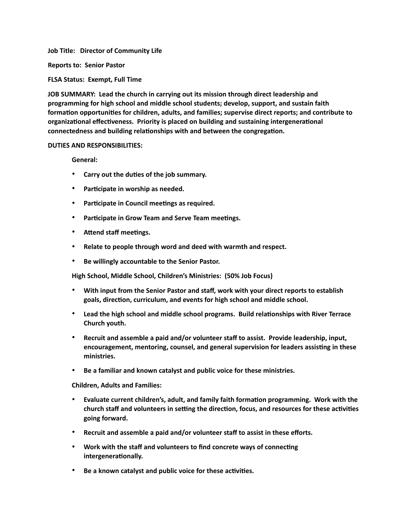**Job Title: Director of Community Life**

**Reports to: Senior Pastor**

**FLSA Status: Exempt, Full Time**

**JOB SUMMARY: Lead the church in carrying out its mission through direct leadership and programming for high school and middle school students; develop, support, and sustain faith formation opportunities for children, adults, and families; supervise direct reports; and contribute to organizational effectiveness. Priority is placed on building and sustaining intergenerational connectedness and building relationships with and between the congregation.**

## **DUTIES AND RESPONSIBILITIES:**

**General:**

- **Carry out the duties of the job summary.**
- **Participate in worship as needed.**
- **Participate in Council meetings as required.**
- **Participate in Grow Team and Serve Team meetings.**
- **Attend staff meetings.**
- **Relate to people through word and deed with warmth and respect.**
- **Be willingly accountable to the Senior Pastor.**

**High School, Middle School, Children's Ministries: (50% Job Focus)**

- **With input from the Senior Pastor and staff, work with your direct reports to establish goals, direction, curriculum, and events for high school and middle school.**
- **Lead the high school and middle school programs. Build relationships with River Terrace Church youth.**
- **Recruit and assemble a paid and/or volunteer staff to assist. Provide leadership, input, encouragement, mentoring, counsel, and general supervision for leaders assisting in these ministries.**
- **Be a familiar and known catalyst and public voice for these ministries.**

**Children, Adults and Families:**

- **Evaluate current children's, adult, and family faith formation programming. Work with the church staff and volunteers in setting the direction, focus, and resources for these activities going forward.**
- **Recruit and assemble a paid and/or volunteer staff to assist in these efforts.**
- **Work with the staff and volunteers to find concrete ways of connecting intergenerationally.**
- **Be a known catalyst and public voice for these activities.**